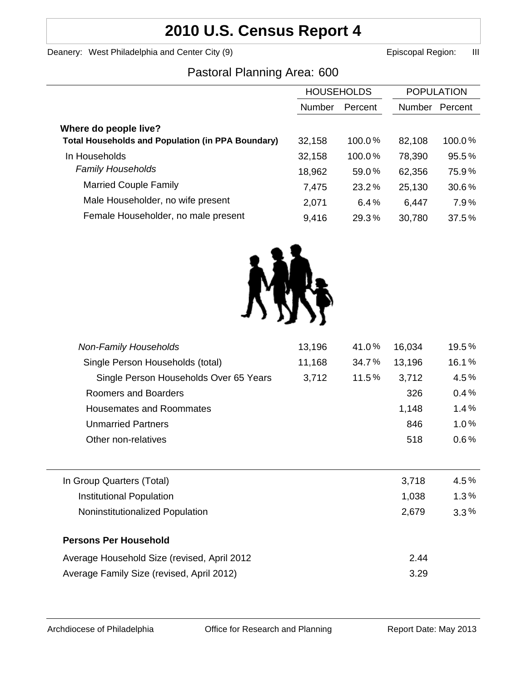# **2010 U.S. Census Report 4**

Deanery: West Philadelphia and Center City (9) **Example 2** Episcopal Region: III

# Pastoral Planning Area: 600

|                                                          | <b>HOUSEHOLDS</b> |          | <b>POPULATION</b> |         |
|----------------------------------------------------------|-------------------|----------|-------------------|---------|
|                                                          |                   |          |                   |         |
|                                                          | <b>Number</b>     | Percent  | Number            | Percent |
| Where do people live?                                    |                   |          |                   |         |
| <b>Total Households and Population (in PPA Boundary)</b> | 32,158            | 100.0%   | 82,108            | 100.0%  |
| In Households                                            | 32,158            | 100.0%   | 78,390            | 95.5%   |
| <b>Family Households</b>                                 | 18,962            | 59.0%    | 62,356            | 75.9%   |
| <b>Married Couple Family</b>                             | 7,475             | $23.2\%$ | 25,130            | 30.6%   |
| Male Householder, no wife present                        | 2,071             | 6.4%     | 6,447             | 7.9%    |
| Female Householder, no male present                      | 9,416             | 29.3%    | 30,780            | 37.5%   |



| <b>Non-Family Households</b>                | 13,196 | 41.0% | 16,034 | 19.5%   |
|---------------------------------------------|--------|-------|--------|---------|
| Single Person Households (total)            | 11,168 | 34.7% | 13,196 | 16.1%   |
| Single Person Households Over 65 Years      | 3,712  | 11.5% | 3,712  | 4.5%    |
| Roomers and Boarders                        |        |       | 326    | 0.4%    |
| Housemates and Roommates                    |        |       | 1,148  | 1.4%    |
| <b>Unmarried Partners</b>                   |        |       | 846    | 1.0%    |
| Other non-relatives                         |        |       | 518    | $0.6\%$ |
|                                             |        |       |        |         |
| In Group Quarters (Total)                   |        |       | 3,718  | 4.5%    |
| Institutional Population                    |        |       | 1,038  | $1.3\%$ |
| Noninstitutionalized Population             |        |       | 2,679  | $3.3\%$ |
| <b>Persons Per Household</b>                |        |       |        |         |
| Average Household Size (revised, April 2012 |        |       | 2.44   |         |
| Average Family Size (revised, April 2012)   |        |       | 3.29   |         |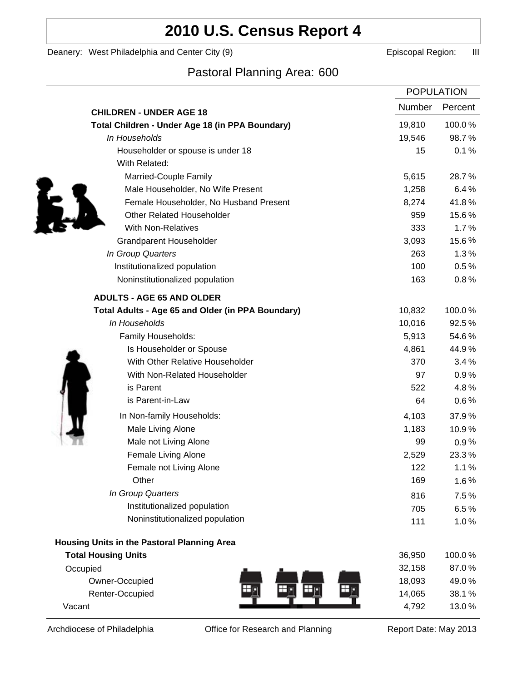# **2010 U.S. Census Report 4**

Deanery: West Philadelphia and Center City (9) **Example 2** Episcopal Region: III

## Pastoral Planning Area: 600

|                                                   |        | <b>POPULATION</b> |  |
|---------------------------------------------------|--------|-------------------|--|
| <b>CHILDREN - UNDER AGE 18</b>                    | Number | Percent           |  |
| Total Children - Under Age 18 (in PPA Boundary)   | 19,810 | 100.0%            |  |
| In Households                                     | 19,546 | 98.7%             |  |
| Householder or spouse is under 18                 | 15     | 0.1%              |  |
| With Related:                                     |        |                   |  |
| Married-Couple Family                             | 5,615  | 28.7%             |  |
| Male Householder, No Wife Present                 | 1,258  | 6.4%              |  |
| Female Householder, No Husband Present            | 8,274  | 41.8%             |  |
| <b>Other Related Householder</b>                  | 959    | 15.6%             |  |
| <b>With Non-Relatives</b>                         | 333    | 1.7%              |  |
| <b>Grandparent Householder</b>                    | 3,093  | 15.6%             |  |
| In Group Quarters                                 | 263    | 1.3%              |  |
| Institutionalized population                      | 100    | 0.5%              |  |
| Noninstitutionalized population                   | 163    | 0.8%              |  |
| <b>ADULTS - AGE 65 AND OLDER</b>                  |        |                   |  |
| Total Adults - Age 65 and Older (in PPA Boundary) | 10,832 | 100.0%            |  |
| In Households                                     | 10,016 | 92.5%             |  |
| Family Households:                                | 5,913  | 54.6%             |  |
| Is Householder or Spouse                          | 4,861  | 44.9%             |  |
| With Other Relative Householder                   | 370    | 3.4%              |  |
| With Non-Related Householder                      | 97     | 0.9%              |  |
| is Parent                                         | 522    | 4.8%              |  |
| is Parent-in-Law                                  | 64     | 0.6%              |  |
| In Non-family Households:                         | 4,103  | 37.9%             |  |
| Male Living Alone                                 | 1,183  | 10.9%             |  |
| Male not Living Alone                             | 99     | 0.9%              |  |
| Female Living Alone                               | 2,529  | 23.3%             |  |
| Female not Living Alone                           | 122    | 1.1%              |  |
| Other                                             | 169    | 1.6%              |  |
| In Group Quarters                                 | 816    | 7.5%              |  |
| Institutionalized population                      | 705    | 6.5%              |  |
| Noninstitutionalized population                   | 111    | 1.0%              |  |
| Housing Units in the Pastoral Planning Area       |        |                   |  |
| <b>Total Housing Units</b>                        | 36,950 | 100.0%            |  |
| Occupied                                          | 32,158 | 87.0%             |  |
| Owner-Occupied                                    | 18,093 | 49.0%             |  |
| Renter-Occupied                                   | 14,065 | 38.1%             |  |
| Vacant                                            | 4,792  | 13.0%             |  |
|                                                   |        |                   |  |

Archdiocese of Philadelphia **Office for Research and Planning** Report Date: May 2013